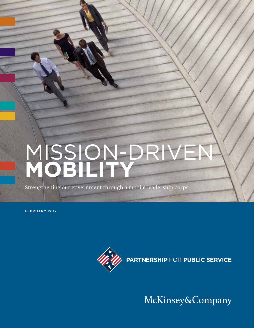# Mission-Driven **MOBILITY**

Strengthening our government through a mobile leadership corps

FEBRUARy 2012



McKinsey&Company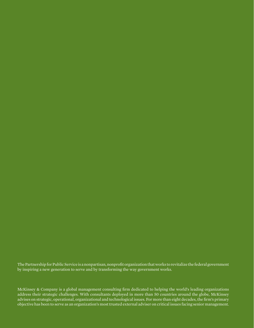The Partnership for Public Service is a nonpartisan, nonprofit organization that works to revitalize the federal government by inspiring a new generation to serve and by transforming the way government works.

McKinsey & Company is a global management consulting firm dedicated to helping the world's leading organizations address their strategic challenges. With consultants deployed in more than 50 countries around the globe, McKinsey advises on strategic, operational, organizational and technological issues. For more than eight decades, the firm's primary objective has been to serve as an organization's most trusted external adviser on critical issues facing senior management.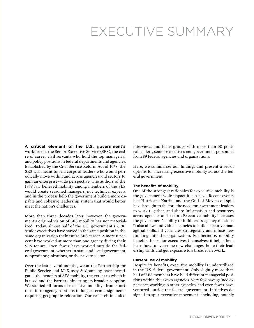# EXECUTIVE SUMMARY

**A critical element of the U.S. government's**  workforce is the Senior Executive Service (SES), the cadre of career civil servants who hold the top managerial and policy positions in federal departments and agencies. Established by the Civil Service Reform Act of 1978, the SES was meant to be a corps of leaders who would periodically move within and across agencies and sectors to gain an enterprise-wide perspective. The authors of the 1978 law believed mobility among members of the SES would create seasoned managers, not technical experts, and in the process help the government build a more capable and cohesive leadership system that would better meet the nation's challenges.

More than three decades later, however, the government's original vision of SES mobility has not materialized. Today, almost half of the U.S. government's 7,100 senior executives have stayed in the same position in the same organization their entire SES career. A mere 8 percent have worked at more than one agency during their SES tenure. Even fewer have worked outside the federal government, whether in state and local government, nonprofit organizations, or the private sector.

Over the last several months, we at the Partnership for Public Service and McKinsey & Company have investigated the benefits of SES mobility, the extent to which it is used and the barriers hindering its broader adoption. We studied all forms of executive mobility—from shortterm intra-agency rotations to longer-term assignments requiring geographic relocation. Our research included

interviews and focus groups with more than 90 political leaders, senior executives and government personnel from 39 federal agencies and organizations.

Here, we summarize our findings and present a set of options for increasing executive mobility across the federal government.

#### **The benefits of mobility**

One of the strongest rationales for executive mobility is the government-wide impact it can have. Recent events like Hurricane Katrina and the Gulf of Mexico oil spill have brought to the fore the need for government leaders to work together, and share information and resources across agencies and sectors. Executive mobility increases the government's ability to fulfill cross-agency missions. It also allows individual agencies to build executive managerial skills, fill vacancies strategically and infuse new thinking into the organization. Furthermore, mobility benefits the senior executives themselves: it helps them learn how to overcome new challenges, hone their leadership skills and get exposure to a broader network.

#### **Current use of mobility**

Despite its benefits, executive mobility is underutilized in the U.S. federal government. Only slightly more than half of SES members have held different managerial positions within their own agencies. Very few have gained experience working in other agencies, and even fewer have ventured outside the federal government. Initiatives designed to spur executive movement—including, notably,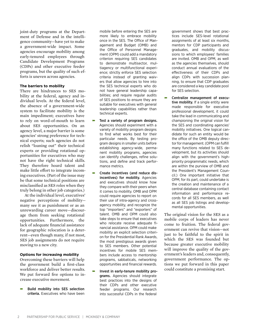joint-duty programs at the Department of Defense and in the intelligence community—have yet to make a government-wide impact. Some agencies encourage mobility among early-tenured employees through Candidate Development Programs (CDPs) and other executive feeder programs, but the quality of such efforts is uneven across agencies.

#### **The barriers to mobility**

There are hindrances to SES mobility at the federal, agency and individual levels. At the federal level, the absence of a government-wide system to facilitate mobility is the main impediment; executives have to rely on word-of-mouth to learn about SES opportunities. On an agency level, a major barrier is some agencies' strong preference for technical experts; such agencies do not relish "loaning out" their technical experts or providing rotational opportunities for executives who may not have the right technical skills. They therefore hoard talent and make little effort to integrate incoming executives. (Part of the issue may be that some technical positions are misclassified as SES roles when they truly belong in other job categories.)

At the individual level, executives' negative perceptions of mobility many see it as punishment or as an unrewarding career move—discourage them from seeking rotational opportunities. Furthermore, the lack of adequate financial assistance for geographic relocation is a deterrent—even though many, if not most, SES job assignments do not require moving to a new city.

#### **Options for increasing mobility**

Overcoming these barriers will help the government build a first-class workforce and deliver better results. We put forward five options to increase executive movement.

ɚ Build mobility into SES selection criteria. Executives who have been

mobile before entering the SES are more likely to embrace mobility once in the SES. The Office of Management and Budget (OMB) and the Office of Personnel Management (OPM) could add a mandatory criterion requiring SES candidates to demonstrate multisector, multiagency or multifunctional experience; strictly enforce SES selection criteria instead of granting waivers that allow agencies to hire into the SES technical experts who do not have general leadership capabilities; and require regular audits of SES positions to ensure they are suitable for executives with general leadership capabilities rather than technical experts.

- Test a variety of program designs. Agencies should experiment with a variety of mobility program designs to find what works best for their particular needs. By testing program designs in smaller units before establishing agency-wide, permanent mobility programs, agencies can identify challenges, refine solutions, and define and track performance metrics.
- ɚ Create incentives (and reduce disincentives) for mobility. Agencies and executives should know how they compare with their peers when it comes to mobility. OMB and OPM could require agencies to report on their use of intra-agency and crossagency mobility, and recognize the top "importers" and "exporters" of talent. OMB and OPM could also take steps to ensure that executives who relocate receive adequate financial assistance. OPM could make mobility an explicit selection criterion for the Presidential Rank Awards, the most prestigious awards given to SES members. Other potential incentives for mobile SES members include access to mentorship programs, sabbaticals, networking opportunities and financial rewards.
- ɚ Invest in early-tenure mobility programs. Agencies should integrate best practices into the designs of their CDPs and other executive feeder programs. Our research into successful CDPs in the federal

government shows that best practices include SES-level rotational assignments of at least six months, mentors for CDP participants and graduates, and mobility discussions to which employees' families are invited. OMB and OPM, as well as the agencies themselves, should conduct annual evaluations of the effectiveness of their CDPs and align CDPs with succession planning, to ensure that CDP graduates are considered a key candidate pool for SES selection.

ɚ Centralize management of executive mobility. If a single entity were made responsible for executive professional development, it could take the lead in communicating and championing the original vision for the SES and coordinating agencies' mobility initiatives. One logical candidate for such an entity would be the office of the OMB deputy director for management. (OPM can fulfill many functions related to SES development, but its activities should align with the government's highpriority programmatic needs, which are within the purview of OMB and the President's Management Council.) One important initiative that OPM, for its part, could undertake is the creation and maintenance of a central database containing contact information and performance records for all SES members, as well as all SES job listings and developmental opportunities.

The original vision for the SES as a mobile corps of leaders has never come to fruition. The federal government can revive that vision—not just to be faithful to the spirit in which the SES was founded but because greater executive mobility will improve the quality of the government's leaders and, consequently, government performance. The options we put forward in this paper could constitute a promising start.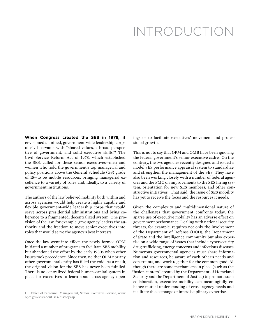# INTRODUCTION

**When Congress created the SES in 1978, it** envisioned a unified, government-wide leadership corps of civil servants with "shared values, a broad perspective of government, and solid executive skills."1 The Civil Service Reform Act of 1978, which established the SES, called for these senior executives—men and women who hold the government's top managerial and policy positions above the General Schedule (GS) grade of 15—to be mobile resources, bringing managerial excellence to a variety of roles and, ideally, to a variety of government institutions.

The authors of the law believed mobility both within and across agencies would help create a highly capable and flexible government-wide leadership corps that would serve across presidential administrations and bring coherence to a fragmented, decentralized system. One provision of the law, for example, gave agency leaders the authority and the freedom to move senior executives into roles that would serve the agency's best interests.

Once the law went into effect, the newly formed OPM initiated a number of programs to facilitate SES mobility but abandoned the effort by the early 1980s when other issues took precedence. Since then, neither OPM nor any other governmental entity has filled the void. As a result, the original vision for the SES has never been fulfilled. There is no centralized federal human-capital system in place for executives to learn about cross-agency openings or to facilitate executives' movement and professional growth.

This is not to say that OPM and OMB have been ignoring the federal government's senior executive cadre. On the contrary, the two agencies recently designed and issued a model SES performance appraisal system to standardize and strengthen the management of the SES. They have also been working closely with a number of federal agencies and the PMC on improvements to the SES hiring system, orientation for new SES members, and other constructive initiatives. That said, the issue of SES mobility has yet to receive the focus and the resources it needs.

Given the complexity and multidimensional nature of the challenges that government confronts today, the sparse use of executive mobility has an adverse effect on government performance. Dealing with national security threats, for example, requires not only the involvement of the Department of Defense (DOD), the Department of State and the intelligence community but also expertise on a wide range of issues that include cybersecurity, drug trafficking, energy concerns and infectious diseases. Numerous governmental agencies must share information and resources, be aware of each other's needs and constraints, and work together for the common good. Although there are some mechanisms in place (such as the "fusion centers" created by the Department of Homeland Security and the Department of Justice) to promote such collaboration, executive mobility can meaningfully enhance mutual understanding of cross-agency needs and facilitate the exchange of interdisciplinary expertise.

<sup>1</sup> Office of Personnel Management, Senior Executive Service, www. opm.gov/ses/about\_ses/history.asp.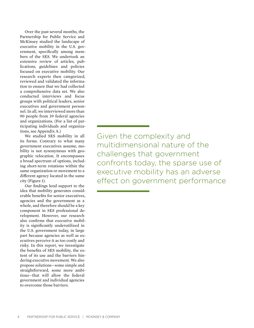Over the past several months, the Partnership for Public Service and McKinsey studied the landscape of executive mobility in the U.S. government, specifically among members of the SES. We undertook an extensive review of articles, publications, guidelines and policies focused on executive mobility. Our research experts then categorized, reviewed and validated the information to ensure that we had collected a comprehensive data set. We also conducted interviews and focus groups with political leaders, senior executives and government personnel. In all, we interviewed more than 90 people from 39 federal agencies and organizations. (For a list of participating individuals and organizations, see Appendix A.)

We studied SES mobility in all its forms. Contrary to what many government executives assume, mobility is not synonymous with geographic relocation. It encompasses a broad spectrum of options, including short-term rotations within the same organization or movement to a different agency located in the same city (Figure 1).

Our findings lend support to the idea that mobility generates considerable benefits for senior executives, agencies and the government as a whole, and therefore should be a key component in SES professional development. However, our research also confirms that executive mobility is significantly underutilized in the U.S. government today, in large part because agencies as well as executives perceive it as too costly and risky. In this report, we investigate the benefits of SES mobility, the extent of its use and the barriers hindering executive movement. We also propose solutions—some simple and straightforward, some more ambitious—that will allow the federal government and individual agencies to overcome those barriers.

Given the complexity and multidimensional nature of the challenges that government confronts today, the sparse use of executive mobility has an adverse effect on government performance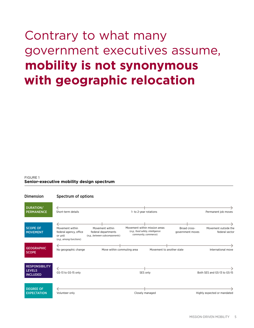# Contrary to what many government executives assume, **mobility is not synonymous with geographic relocation**

#### FIGURE 1 **Senior-executive mobility design spectrum**

| <b>Dimension</b>                                          | Spectrum of options                                                             |                                                                         |                                                                                           |                                  |                                        |
|-----------------------------------------------------------|---------------------------------------------------------------------------------|-------------------------------------------------------------------------|-------------------------------------------------------------------------------------------|----------------------------------|----------------------------------------|
| <b>DURATION/</b><br><b>PERMANENCE</b>                     | Short-term details                                                              |                                                                         | 1- to 2-year rotations                                                                    |                                  | Permanent job moves                    |
| <b>SCOPE OF</b><br><b>MOVEMENT</b>                        | Movement within<br>federal agency, office<br>or unit<br>(e.g., among functions) | Movement within<br>federal departments<br>(e.g., between subcomponents) | Movement within mission areas<br>(e.g., food safety, intelligence<br>community, commerce) | Broad cross-<br>government moves | Movement outside the<br>federal sector |
| <b>GEOGRAPHIC</b><br><b>SCOPE</b>                         | No geographic change                                                            | Move within commuting area                                              | Movement to another state                                                                 |                                  | International move                     |
| <b>RESPONSIBILITY</b><br><b>LEVELS</b><br><b>INCLUDED</b> | GS-13 to GS-15 only                                                             |                                                                         | SES only                                                                                  |                                  | Both SES and GS-13 to GS-15            |
| <b>DEGREE OF</b><br><b>EXPECTATION</b>                    | Volunteer only                                                                  |                                                                         | Closely managed                                                                           |                                  | Highly expected or mandated            |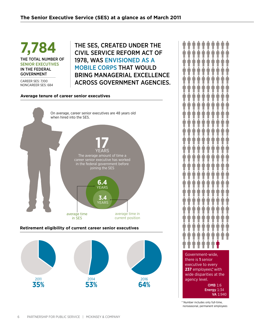**7,784** The total number of senior executives in the federal **GOVERNMENT** 

Career SES: 7,100 NonCareer SES: 684

### The SES, created under the Civil Service Reform Act of 1978, was envisioned as a mobile corps that would bring managerial excellence across GOVERNMENT agencies.

#### **Average tenure of career senior executives**



#### **Retirement eligibility of current career senior executives**



Government-wide, there is **1** senior

executive to every **237** employees,\* with wide disparities at the agency level. OMB 1:6

> Energy 1:34 VA 1:940

\* Number includes only full-time, nonseasonal, permanent employees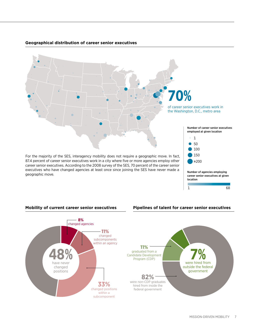

#### **Geographical distribution of career senior executives**

geographic move.



1 68



#### **Mobility of current career senior executives Pipelines of talent for career senior executives**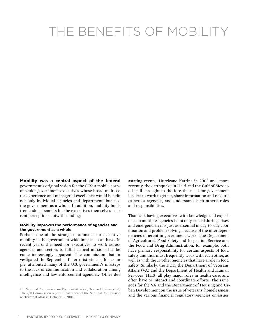# THE BENEFITS OF MOBILITY

**Mobility was a central aspect of the federal**  government's original vision for the SES: a mobile corps of senior government executives whose broad multisector experience and managerial excellence would benefit not only individual agencies and departments but also the government as a whole. In addition, mobility holds tremendous benefits for the executives themselves—current perceptions notwithstanding.

#### **Mobility improves the performance of agencies and the government as a whole**

Perhaps one of the strongest rationales for executive mobility is the government-wide impact it can have. In recent years, the need for executives to work across agencies and sectors to fulfill critical missions has become increasingly apparent. The commission that investigated the September 11 terrorist attacks, for example, attributed many of the U.S. government's missteps to the lack of communication and collaboration among intelligence and law-enforcement agencies.<sup>2</sup> Other dev-

astating events—Hurricane Katrina in 2005 and, more recently, the earthquake in Haiti and the Gulf of Mexico oil spill—brought to the fore the need for government leaders to work together, share information and resources across agencies, and understand each other's roles and responsibilities.

That said, having executives with knowledge and experience in multiple agencies is not only crucial during crises and emergencies; it is just as essential in day-to-day coordination and problem solving, because of the interdependencies inherent in government work. The Department of Agriculture's Food Safety and Inspection Service and the Food and Drug Administration, for example, both have primary responsibility for certain aspects of food safety and thus must frequently work with each other, as well as with the 13 other agencies that have a role in food safety. Similarly, the DOD, the Department of Veterans Affairs (VA) and the Department of Health and Human Services (HHS) all play major roles in health care, and often have to interact and coordinate efforts. The same goes for the VA and the Department of Housing and Urban Development on the issue of veterans' homelessness, and the various financial regulatory agencies on issues

<sup>2</sup> National Commission on Terrorist Attacks (Thomas H. Kean, et al). The 9/11 Commission report: Final report of the National Commission on Terrorist Attacks, October 17, 2004.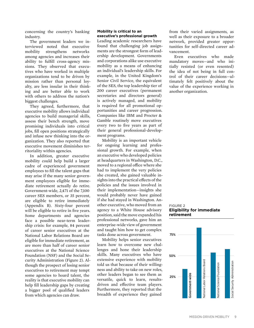concerning the country's banking industry.

The government leaders we interviewed noted that executive mobility strengthens networks among agencies and increases their ability to fulfill cross-agency missions. They observed that executives who have worked in multiple organizations tend to be driven by mission rather than personal loyalty, are less insular in their thinking and are better able to work with others to address the nation's biggest challenges.

They agreed, furthermore, that executive mobility allows individual agencies to build managerial skills, assess their bench strength, move promising individuals into critical jobs, fill open positions strategically and infuse new thinking into the organization. They also reported that executive movement diminishes territoriality within agencies.

In addition, greater executive mobility could help build a larger cadre of experienced government employees to fill the talent gaps that may arise if the many senior government employees eligible for immediate retirement actually do retire. Government-wide, 2,471 of the 7,100 career SES members, or 35 percent, are eligible to retire immediately (Appendix B). Sixty-four percent will be eligible to retire in five years. Some departments and agencies face a possible near-term leadership crisis: for example, 84 percent of career senior executives at the National Labor Relations Board are eligible for immediate retirement, as are more than half of career senior executives at the National Science Foundation (NSF) and the Social Security Administration (Figure 2). Although the prospect of losing senior executives to retirement may tempt some agencies to hoard talent, the reality is that executive mobility can help fill leadership gaps by creating a bigger pool of qualified leaders from which agencies can draw.

#### **Mobility is critical to an executive's professional growth**

Leading academic researchers have found that challenging job assignments are the strongest form of leadership development. Governments and corporations alike use executive mobility as a means of enhancing an individual's leadership skills. For example, in the United Kingdom's Senior Civil Service, the equivalent of the SES, the top leadership tier of 200 career executives (permanent secretaries and directors general) is actively managed, and mobility is required for all promotional opportunities and career progression. Companies like IBM and Procter & Gamble routinely move executives every two to five years as part of their general professional-development programs.

Mobility is an important vehicle for ongoing learning and professional growth. For example, when an executive who developed policies at headquarters in Washington, D.C., moved to a regional office where she had to implement the very policies she created, she gained valuable insights into the practical effects of the policies and the issues involved in their implementation—insights she would probably never have gained if she had stayed in Washington. Another executive, who moved from an agency to a White House advisory position, said the move expanded his professional networks, gave him an enterprise-wide view of government and taught him how to get complex tasks done across government.

Mobility helps senior executives learn how to overcome new challenges and hone their leadership skills. Many executives who have extensive experience with mobility told us that because of their willingness and ability to take on new roles, other leaders began to see them as versatile, quick to learn, resultsdriven and effective team players. Furthermore, they reported that the breadth of experience they gained

from their varied assignments, as well as their exposure to a broader network, provided greater opportunities for self-directed career advancement.

Even executives who made mandatory moves—and who initially resisted (or even resented) the idea of not being in full control of their career decisions—ultimately felt positively about the value of the experience working in another organization.

#### FIGURE 2 **Eligibility for immediate retirement**

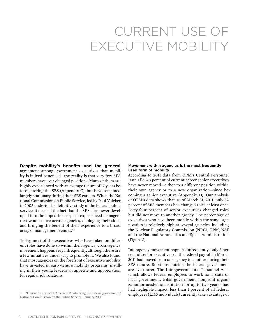# CURRENT USE OF EXECUTIVE MOBILITY

**Despite mobility's benefits—and the general**  agreement among government executives that mobility is indeed beneficial—the reality is that very few SES members have ever changed positions. Many of them are highly experienced with an average tenure of 17 years before entering the SES (Appendix C), but have remained largely stationary during their SES careers. When the National Commission on Public Service, led by Paul Volcker, in 2003 undertook a definitive study of the federal public service, it decried the fact that the SES "has never developed into the hoped-for corps of experienced managers that would move across agencies, deploying their skills and bringing the benefit of their experience to a broad array of management venues."3

Today, most of the executives who have taken on different roles have done so within their agency; cross-agency movement happens very infrequently, although there are a few initiatives under way to promote it. We also found that most agencies on the forefront of executive mobility have invested in early-tenure mobility programs, instilling in their young leaders an appetite and appreciation for regular job rotations.

#### **Movement within agencies is the most frequently used form of mobility**

According to 2011 data from OPM's Central Personnel Data File, 48 percent of current career senior executives have never moved—either to a different position within their own agency or to a new organization—since becoming a senior executive (Appendix D). Our analysis of OPM's data shows that, as of March 31, 2011, only 52 percent of SES members had changed roles at least once. Forty-four percent of senior executives changed roles but did not move to another agency. The percentage of executives who have been mobile within the same organization is relatively high at several agencies, including the Nuclear Regulatory Commission (NRC), OPM, NSF, and the National Aeronautics and Space Administration (Figure 3).

Interagency movement happens infrequently: only 8 percent of senior executives on the federal payroll in March 2011 had moved from one agency to another during their SES tenure. Rotations outside the federal government are even rarer. The Intergovernmental Personnel Act which allows federal employees to work for a state or local government, tribal government, nonprofit organization or academic institution for up to two years—has had negligible impact: less than 1 percent of all federal employees (1,145 individuals) currently take advantage of

<sup>3 &</sup>quot;Urgent business for America: Revitalizing the federal government," National Commission on the Public Service, January 2003.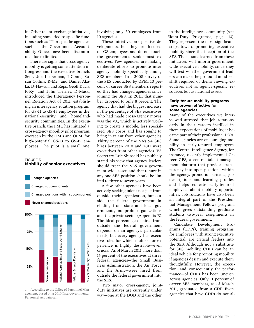it.4 Other talent-exchange initiatives, including some tied to specific functions such as IT or specific agencies such as the Government Accountability Office, have been discontinued due to limited use.

There are signs that cross-agency mobility is getting some attention in Congress and the executive branch. Sens. Joe Lieberman, I-Conn., Susan Collins, R-Me., and Daniel Akaka, D-Hawaii, and Reps. Geoff Davis, R-Ky., and John Tierney, D-Mass., introduced the Interagency Personnel Rotation Act of 2011, establishing an interagency rotation program for GS-11 to GS-15 employees in the national-security and homelandsecurity communities. In the executive branch, the PMC has initiated a cross-agency mobility pilot program, overseen by the OMB and OPM, for high-potential GS-13 to GS-15 employees. The pilot is a small one,

#### FIGURE 3 **Mobility of senior executives**



4 According to the Office of Personnel Management, based on a 2010 Intergovernmental Personnel Act data call.

involving only 30 employees from 10 agencies.

These initiatives are positive developments, but they are focused on GS employees and do not touch the government's senior-most executives. Few agencies are making deliberate efforts to promote interagency mobility specifically among SES members. In a 2008 survey of the SES conducted by OPM, 10 percent of career SES members reported they had changed agencies since joining the SES. In 2011, that number dropped to only 8 percent. The agency that had the biggest increase in the percentage of SES executives who had made cross-agency moves was the VA, which is actively working to create a mobile, less specialized SES corps and has sought to bring in talent from other agencies. Thirty percent of the VA's 94 SES hires between 2010 and 2011 were executives from other agencies. VA Secretary Eric Shinseki has publicly stated his view that agency leaders should treat the SES as a government-wide asset, and that tenure in any one SES position should be limited to three to seven years.

A few other agencies have been actively seeking talent not just from outside their organization, but outside the federal government—including from state and local governments, nonprofit organizations and the private sector (Appendix E). The ideal percentage of hires from outside the federal government depends on an agency's particular needs, but every agency has executive roles for which multisector experience is highly desirable—even crucial. As of March 2011, more than 15 percent of the executives at three federal agencies—the Small Business Administration, the Air Force and the Army—were hired from outside the federal government into the SES.

Two major cross-agency, jointduty initiatives are currently under way—one at the DOD and the other

in the intelligence community (see "Joint-Duty Programs", page 13). They represent the most significant steps toward promoting executive mobility since the inception of the SES. The lessons learned from these initiatives will inform governmentwide executive mobility, since they will test whether government leaders can make the profound mind-set shift required of them: viewing executives not as agency-specific resources but as national assets.

#### **Early-tenure mobility programs have proven effective for some agencies**

Many of the executives we interviewed attested that job rotations early in their careers instilled in them expectations of mobility; it became part of their professional DNA. Some agencies are encouraging mobility in early-tenured employees. The Central Intelligence Agency, for instance, recently implemented Career GPS, a central talent-management platform that provides transparency into open positions within the agency, promotion criteria, job descriptions and learning profiles, and helps educate early-tenured employees about mobility opportunities. Job rotations have also been an integral part of the Presidential Management Fellows program, which gives outstanding graduate students two-year assignments in the federal government.

Candidate Development Programs (CDPs), training programs for employees with strong executive potential, are critical feeders into the SES. Although not a substitute for SES mobility, CDPs can be an ideal vehicle for promoting mobility if agencies design and execute them thoughtfully. However, the execution—and, consequently, the performance—of CDPs has been uneven across agencies. Only 11 percent of career SES members, as of March 2011, graduated from a CDP. Even agencies that have CDPs do not al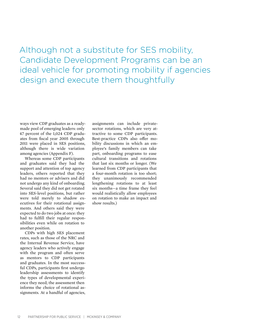Although not a substitute for SES mobility, Candidate Development Programs can be an ideal vehicle for promoting mobility if agencies design and execute them thoughtfully

ways view CDP graduates as a readymade pool of emerging leaders: only 47 percent of the 1,024 CDP graduates from fiscal year 2005 through 2011 were placed in SES positions, although there is wide variation among agencies (Appendix F).

Whereas some CDP participants and graduates said they had the support and attention of top agency leaders, others reported that they had no mentors or advisers and did not undergo any kind of onboarding. Several said they did not get rotated into SES-level positions, but rather were told merely to shadow executives for their rotational assignments. And others said they were expected to do two jobs at once: they had to fulfill their regular responsibilities even while on rotation to another position.

CDPs with high SES placement rates, such as those of the NRC and the Internal Revenue Service, have agency leaders who actively engage with the program and often serve as mentors to CDP participants and graduates. In the most successful CDPs, participants first undergo leadership assessments to identify the types of developmental experience they need; the assessment then informs the choice of rotational assignments. At a handful of agencies,

assignments can include privatesector rotations, which are very attractive to some CDP participants. Best-practice CDPs also offer mobility discussions in which an employee's family members can take part, onboarding programs to ease cultural transitions and rotations that last six months or longer. (We learned from CDP participants that a four-month rotation is too short; they unanimously recommended lengthening rotations to at least six months—a time frame they feel would realistically allow employees on rotation to make an impact and show results.)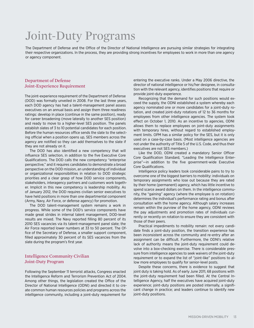# Joint-Duty Programs

The Department of Defense and the Office of the Director of National Intelligence are pursuing similar strategies for integrating their respective organizations. In the process, they are providing strong incentives for employees to work in more than one agency or agency component.

#### Department of Defense Joint-Experience Requirement

The joint-experience requirement of the Department of Defense (DOD) was formally unveiled in 2008. For the last three years, each DOD agency has had a talent-management panel assess executives on an annual basis and assign them three readiness ratings: develop in place (continue in the same position), ready for career broadening (move laterally to another SES position) and ready to move to a higher-level SES position. The panels establish slates of 3 to 10 potential candidates for each position. Before the human resources office sends the slate to the selecting official when a position opens up, SES members across the agency are notified so they can add themselves to the slate if they are not already on it.

The DOD has also identified a new competency that will influence SES selection, in addition to the five Executive Core Qualifications. The DOD calls the new competency "enterprise perspective," and it requires candidates to demonstrate a broad perspective on the DOD mission, an understanding of individual or organizational responsibilities in relation to DOD strategic priorities and a clear grasp of how DOD service components, stakeholders, interagency partners and customers work together. Implicit in this new competency is leadership mobility. As of January 2012, the DOD requires civilian senior executives to have held positions in more than one departmental component (Army, Navy, Air Force, or defense agency) for promotion.

The DOD talent-management system remains a work in progress. While some of the DOD's service components have made great strides in internal talent management, DOD-level results are mixed. The Navy reported filling 80 percent of its 2010 SES vacancies via its talent-management panel slate; the Air Force reported lower numbers at 33 to 50 percent. The Office of the Secretary of Defense, a smaller support component, filled approximately 30 percent of its SES vacancies from the slate during the program's first year.

#### Intelligence Community Civilian Joint-Duty Program

Following the September 11 terrorist attacks, Congress enacted the Intelligence Reform and Terrorism Prevention Act of 2004. Among other things, the legislation created the Office of the Director of National Intelligence (ODNI) and directed it to create common human resources policies and programs across the intelligence community, including a joint-duty requirement for entering the executive ranks. Under a May 2006 directive, the director of national intelligence or his/her designee, in consultation with the relevant agency, identifies positions that require or provide joint-duty experience.

Recognizing that the demand for such positions would exceed the supply, the ODNI established a system whereby each agency nominated one or more candidates for a joint-duty rotation, and created joint-duty rotations of 12 to 36 months for employees from other intelligence agencies. The system took effect on October 1, 2010. As an incentive to agencies, ODNI allows them to replace employees on joint-duty assignments with temporary hires, without regard to established employment limits. OPM has a similar policy for the SES, but it is only used on a case-by-case basis. (Most intelligence agencies are not under the authority of Title 5 of the U.S. Code, and thus their executives are not SES members.)

Like the DOD, ODNI created a mandatory Senior Officer Core Qualification Standard, "Leading the Intelligence Enterprise"—in addition to the five government-wide Executive Core Qualifications.

Intelligence policy leaders took considerable pains to try to overcome one of the biggest barriers to mobility: individuals on temporary assignments who lose out because they are rated by their home (permanent) agency, which has little incentive to spend scarce award dollars on them. In the intelligence community, the "gaining" agency (where the employee is on rotation) determines the individual's performance rating and bonus after consultation with the home agency. Although salary increases remain within the purview of the home agency, ODNI reviews the pay adjustments and promotion rates of individuals currently or recently on rotation to ensure they are consistent with those of their peers.

Practical impediments to mobility remain: not every candidate finds a joint-duty position, the transition experience has been inconsistent across the community and re-entry after an assignment can be difficult. Furthermore, the ODNI's relative lack of authority means the joint-duty requirement could devolve into a box-checking exercise. There is considerable pressure from intelligence agencies to seek waivers of the joint-duty requirement or to expand the list of "joint-like" positions to allow more employees to qualify for senior-level posts.

Despite these concerns, there is evidence to suggest that joint duty is taking hold. As of early June 2011, 68 positions with the joint-duty requirement had been filled. At the Central Intelligence Agency, half the executives have acquired joint-duty experience; joint-duty positions are posted internally, a significant change in practice; and leaders continue to identify new joint-duty positions.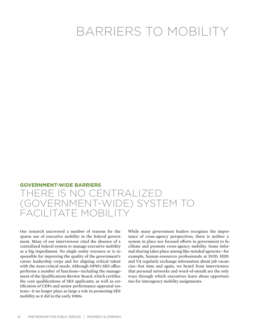# BARRIERS TO MOBILITY

#### **GOVERNMENT-WIDE BARRIERS**

## THERE IS NO CENTRALIZED (GOVERNMENT-WIDE) SYSTEM TO FACILITATE MOBILIT

Our research uncovered a number of reasons for the sparse use of executive mobility in the federal government. Many of our interviewees cited the absence of a centralized federal system to manage executive mobility as a big impediment. No single entity oversees or is responsible for improving the quality of the government's career leadership corps and for aligning critical talent with the most critical needs. Although OPM's SES office performs a number of functions—including the management of the Qualifications Review Board, which certifies the core qualifications of SES applicants, as well as certification of CDPs and senior performance-appraisal systems—it no longer plays as large a role in promoting SES mobility as it did in the early 1980s.

While many government leaders recognize the importance of cross-agency perspectives, there is neither a system in place nor focused efforts in government to facilitate and promote cross-agency mobility. Some informal sharing takes place among like-minded agencies—for example, human-resources professionals at DOD, HHS and VA regularly exchange information about job vacancies—but time and again, we heard from interviewees that personal networks and word-of-mouth are the only ways through which executives learn about opportunities for interagency mobility assignments.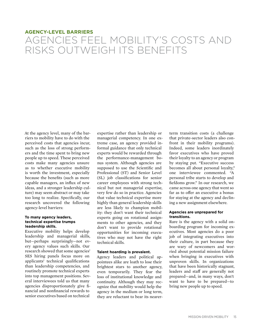#### **AGENCY-LEVEL BARRIERS**

# Agencies feel mobility's costs and risks outweigh its benefits

At the agency level, many of the barriers to mobility have to do with the perceived costs that agencies incur, such as the loss of strong performers and the time spent to bring new people up to speed. These perceived costs make many agencies unsure as to whether executive mobility is worth the investment, especially because the benefits (such as more capable managers, an influx of new ideas, and a stronger leadership culture) may seem abstract or may take too long to realize. Specifically, our research uncovered the following agency-level barriers:

#### **To many agency leaders, technical expertise trumps leadership skills.**

Executive mobility helps develop leadership and managerial skills, but—perhaps surprisingly—not every agency values such skills. Our research showed that some agencies' SES hiring panels focus more on applicants' technical qualifications than leadership competencies, and routinely promote technical experts into top management positions. Several interviewees told us that many agencies disproportionately give financial and nonfinancial rewards to senior executives based on technical

expertise rather than leadership or managerial competency. In one extreme case, an agency provided informal guidance that only technical experts would be rewarded through the performance-management bonus system. Although agencies are supposed to use the Scientific and Professional (ST) and Senior Level (SL) job classifications for senior career employees with strong technical but not managerial expertise, very few do so in practice. Agencies that value technical expertise more highly than general leadership skills are less likely to champion mobility: they don't want their technical experts going on rotational assignments to other agencies, and they don't want to provide rotational opportunities for incoming executives who may not have the right technical skills.

#### **Talent hoarding is prevalent.**

Agency leaders and political appointees alike are loath to lose their brightest stars to another agency, even temporarily. They fear the loss of institutional knowledge and continuity. Although they may recognize that mobility would help the agency in the medium or long term, they are reluctant to bear its nearerterm transition costs (a challenge that private-sector leaders also confront in their mobility programs). Indeed, some leaders inordinately favor executives who have proved their loyalty to an agency or program by staying put. "Executive success becomes all about personal loyalty," one interviewee commented. "A personal tribe starts to develop and fiefdoms grow." In our research, we came across one agency that went so far as to offer an executive a bonus for staying at the agency and declining a new assignment elsewhere.

#### **Agencies are unprepared for transitions.**

Rare is the agency with a solid onboarding program for incoming executives. Most agencies do a poor job of integrating executives into their culture, in part because they are wary of newcomers and worried about potential mission failure when bringing in executives with unproven skills. In organizations that have been historically stagnant, leaders and staff are generally not prepared—and, in many ways, don't want to have to be prepared—to bring new people up to speed.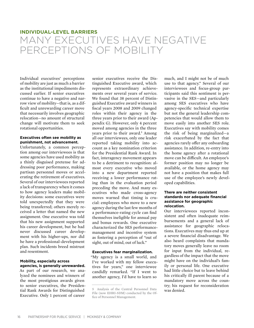#### **INDIVIDUAL-LEVEL BARRIERS**

# Many executives have negative perceptions of mobility

Individual executives' perceptions of mobility are just as much a barrier as the institutional impediments discussed earlier. If senior executives continue to have a negative and narrow view of mobility—that is, as a difficult and unrewarding career move that necessarily involves geographic relocation—no amount of structural change will motivate them to seek rotational opportunities.

#### **Executives often see mobility as punishment, not advancement.**

Unfortunately, a common perception among our interviewees is that some agencies have used mobility as a thinly disguised pretense for addressing poor performance, making partisan personnel moves or accelerating the retirement of executives. Several of our interviewees reported a lack of transparency when it comes to how agency leaders make mobility decisions: some executives were told unexpectedly that they were being transferred; others merely received a letter that named the new assignment. One executive was told that his new assignment supported his career development, but he had never discussed career development with his higher-ups, nor did he have a professional-development plan. Such incidents breed mistrust and resentment.

#### **Mobility, especially across agencies, is generally unrewarded.**

As part of our research, we analyzed the nominees and winners of the most prestigious awards given to senior executives, the Presidential Rank Awards for Distinguished Executive. Only 1 percent of career

senior executives receive the Distinguished Executive award, which represents extraordinary achievements over several years of service. We found that 38 percent of Distinguished Executive award winners in fiscal years 2008 and 2009 changed roles within their agency in the three years prior to their award (Appendix G). However, only 4 percent moved among agencies in the three years prior to their award.<sup>5</sup> Among all our interviewees, only one leader reported taking mobility into account as a key nomination criterion for the Presidential Rank Award. In fact, interagency movement appears to be a detriment to recognition: almost every executive who moved into a new department reported receiving a lower performance rating than in the evaluation period preceding the move. And many executives who made cross-agency moves warned that timing is crucial: employees who move to a new agency during the last few months of a performance-rating cycle can find themselves ineligible for annual pay and bonus rewards. One executive characterized the SES performancemanagement and incentive system as fostering a perception of "out of sight, out of mind, out of luck."

#### **Executives fear marginalization.**

"My agency is a small world, and I've worked with my fellow executives for years," one interviewee candidly remarked. "If I went to another agency, I'd have to learn so

much, and I might not be of much use to that agency." Several of our interviewees and focus-group participants said this sentiment is pervasive in the SES—and particularly among SES executives who have agency-specific technical expertise but not the general leadership competencies that would allow them to move easily into another SES role. Executives say with mobility comes the risk of being marginalized—a risk exacerbated by the fact that agencies rarely offer any onboarding assistance. In addition, re-entry into the home agency after a rotational move can be difficult. An employee's former position may no longer be available, or the home agency may not have a position that makes full use of the employee's newly developed capabilities.

#### **There are neither consistent standards nor adequate financial assistance for geographic relocation.**

Our interviewees reported inconsistent and often inadequate reimbursements and a general lack of assistance for geographic relocations. Executives may thus end up at a severe financial disadvantage. We also heard complaints that mandatory moves generally leave no room for input from the individual, regardless of the impact that the move might have on the individual's family or personal life. One executive had little choice but to leave behind his critically ill parent because of a mandatory move across the country; his request for reconsideration was denied.

<sup>5</sup> Analysis of the Central Personnel Data File (now EHRI-SDM) conducted by the Office of Personnel Management.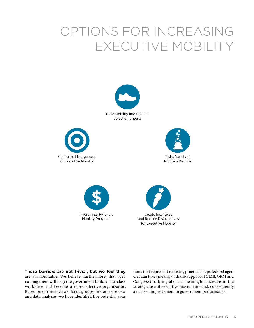# OPTIONS FOR INCREASING EXECUTIVE MOBILITY



Build Mobility into the SES Selection Criteria









**These barriers are not trivial, but we feel they**  are surmountable. We believe, furthermore, that overcoming them will help the government build a first-class workforce and become a more effective organization. Based on our interviews, focus groups, literature review and data analyses, we have identified five potential solutions that represent realistic, practical steps federal agencies can take (ideally, with the support of OMB, OPM and Congress) to bring about a meaningful increase in the strategic use of executive movement—and, consequently, a marked improvement in government performance.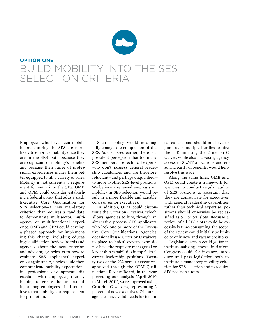# **OPTION ONE** BUILD MOBILITY INTO THE SES SELECTION CRITERIA

Employees who have been mobile before entering the SES are more likely to embrace mobility once they are in the SES, both because they are cognizant of mobility's benefits and because their range of professional experiences makes them better equipped to fill a variety of roles. Mobility is not currently a requirement for entry into the SES. OMB and OPM could consider establishing a federal policy that adds a sixth Executive Core Qualification for SES selection—a new mandatory criterion that requires a candidate to demonstrate multisector, multiagency or multifunctional experience. OMB and OPM could develop a phased approach for implementing this change, including educating Qualification Review Boards and agencies about the new criterion and advising agencies as to how to evaluate SES applicants' experiences against it. Agencies could then communicate mobility expectations in professional-development discussions with employees, thereby helping to create the understanding among employees of all tenure levels that mobility is a requirement for promotion.

Such a policy would meaningfully change the complexion of the SES. As discussed earlier, there is a prevalent perception that too many SES members are technical experts who don't possess general leadership capabilities and are therefore reluctant—and perhaps unqualified to move to other SES-level positions. We believe a renewed emphasis on mobility in SES selection would result in a more flexible and capable corps of senior executives.

In addition, OPM could discontinue the Criterion C waiver, which allows agencies to hire, through an alternative process, SES applicants who lack one or more of the Executive Core Qualifications. Agencies occasionally use Criterion C waivers to place technical experts who do not have the requisite managerial or leadership capabilities in top federal career leadership positions. Twenty-two of the 932 senior executives approved through the OPM Qualifications Review Board, in the year preceding our analysis (April 2010 to March 2011), were approved using Criterion C waivers, representing 2 percent of new executives. Of course, agencies have valid needs for techni-

cal experts and should not have to jump over multiple hurdles to hire them. Eliminating the Criterion C waiver, while also increasing agency access to SL/ST allocations and ensuring parity of benefits, would help resolve this issue.

Along the same lines, OMB and OPM could create a framework for agencies to conduct regular audits of SES positions to ascertain that they are appropriate for executives with general leadership capabilities rather than technical expertise; positions should otherwise be reclassified as SL or ST slots. Because a review of all SES slots would be excessively time-consuming, the scope of the review could initially be limited to only new and vacant positions.

Legislative action could go far in institutionalizing these initiatives. Congress could, for instance, introduce and pass legislation both to institute a mandatory mobility criterion for SES selection and to require SES position audits.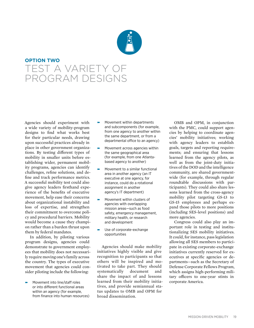

## **OPTION TWO** TEST A VARIETY OF program designs

Agencies should experiment with a wide variety of mobility-program designs to find what works best for their particular needs, drawing upon successful practices already in place in other government organizations. By testing different types of mobility in smaller units before establishing wider, permanent mobility programs, agencies can identify challenges, refine solutions, and define and track performance metrics. A successful mobility test could also give agency leaders firsthand experience of the benefits of executive movement, help ease their concerns about organizational instability and loss of expertise, and strengthen their commitment to overcome policy and procedural barriers. Mobility would become a cause they champion rather than a burden thrust upon them by federal mandates.

In addition, by piloting various program designs, agencies could demonstrate to government employees that mobility does not necessarily require moving one's family across the country. The types of executive movement that agencies could consider piloting include the following:

ɚ Movement into line/staff roles or into different functional areas within an agency (for example, from finance into human resources)

- ɚ Movement within departments and subcomponents (for example, from one agency to another within the same department, or from a departmental office to an agency)
- ɚ Movement across agencies within the same geographical area (for example, from one Atlantabased agency to another)
- ɚ Movement to a similar functional area in another agency (an IT executive at one agency, for instance, could do a rotational assignment in another agency's IT department)
- ɚ Movement within clusters of agencies with overlapping mission areas—such as food safety, emergency management, military health, or research and development
- Use of corporate-exchange opportunities

Agencies should make mobility initiatives highly visible and give recognition to participants so that others will be inspired and motivated to take part. They should systematically document and share the impact of and lessons learned from their mobility initiatives, and provide semiannual status updates to OMB and OPM for broad dissemination.

OMB and OPM, in conjunction with the PMC, could support agencies by helping to coordinate agencies' mobility initiatives; working with agency leaders to establish goals, targets and reporting requirements; and ensuring that lessons learned from the agency pilots, as well as from the joint-duty initiatives of the DOD and the intelligence community, are shared governmentwide (for example, through regular roundtable discussions with participants). They could also share lessons learned from the cross-agency mobility pilot targeting GS-13 to GS-15 employees and perhaps expand those pilots to more positions (including SES-level positions) and more agencies.

Congress could also play an important role in testing and institutionalizing SES mobility initiatives. It could, for instance, pass legislation allowing all SES members to participate in existing corporate-exchange initiatives currently reserved for executives at specific agencies or departments—such as the Secretary of Defense Corporate Fellows Program, which assigns high-performing military officers to one-year stints in corporate America.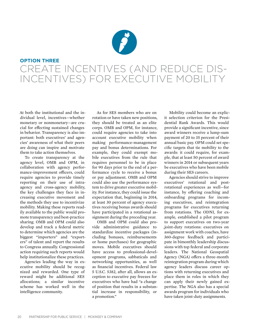

## **OPTION THREE** Create incentives (and reduce dis-INCENTIVES) FOR EXECUTIVE M

At both the institutional and the individual level, incentives—whether monetary or nonmonetary—are crucial for effecting sustained changes in behavior. Transparency is also important: both executives' and agencies' awareness of what their peers are doing can inspire and motivate them to take action themselves.

To create transparency at the agency level, OMB and OPM, in collaboration with agency performance-improvement officers, could require agencies to provide timely reporting on their use of intraagency and cross-agency mobility, the key challenges they face in increasing executive movement and the methods they use to incentivize mobility. Making these reports readily available to the public would promote transparency and best-practice sharing. OMB and OPM could also develop and track a federal metric to determine which agencies are the biggest "importers" and "exporters" of talent and report the results to Congress annually. Congressional action requiring such reports would help institutionalize these practices.

Agencies leading the way in executive mobility should be recognized and rewarded. One type of reward might be additional SES allocations; a similar incentive scheme has worked well in the intelligence community.

As for SES members who are on rotation or have taken new positions, they should be treated as an elite corps. OMB and OPM, for instance, could require agencies to take into account executive mobility when making performance-management pay and bonus determinations. For example, they could exempt mobile executives from the rule that requires personnel to be in place for 90 days prior to the end of a performance cycle to receive a bonus or pay adjustment. OMB and OPM could also use the performance system to drive greater executive mobility. For instance, they could issue the expectation that, beginning in 2014, at least 30 percent of agency executives receiving bonus awards should have participated in a rotational assignment during the preceding year.

OMB and OPM could also provide administrative guidance to standardize incentive packages (including bonuses, reimbursements or home purchases) for geographic moves. Mobile executives should have access to professional-development programs, sabbaticals and networking opportunities, as well as financial incentives. Federal law 5 U.S.C. 5382, after all, allows an exception to executive pay freezes for executives who have had "a change of position that results in a substantial increase in responsibility, or a promotion."

Mobility could become an explicit selection criterion for the Presidential Rank Awards. This would provide a significant incentive, since award winners receive a lump-sum payment of 20 to 35 percent of their annual basic pay. OPM could set specific targets that tie mobility to the awards: it could require, for example, that at least 50 percent of award winners in 2014 or subsequent years be executives who have been mobile during their SES careers.

Agencies should strive to improve executives' rotational and postrotational experiences as well—for instance, by offering coaching and onboarding programs for incoming executives, and reintegration programs for executives returning from rotations. The ODNI, for example, established a pilot program to support executives on two-year ,joint-duty rotations: executives on assignment work with coaches, have 360-degree feedback and participate in bimonthly leadership discussions with top federal and corporate leaders. The National Geospatial Agency (NGA) offers a three-month reintegration program during which agency leaders discuss career options with returning executives and place them in roles in which they can apply their newly gained expertise. The NGA also has a special awards program for individuals who have taken joint-duty assignments.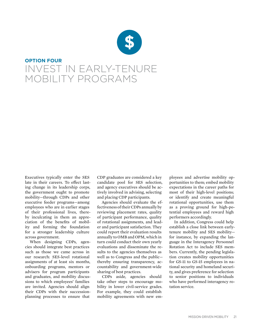

## **OPTION FOUR** Invest in early-tenure mobility programs

Executives typically enter the SES late in their careers. To effect lasting change in its leadership corps, the government ought to promote mobility—through CDPs and other executive feeder programs—among employees who are in earlier stages of their professional lives, thereby inculcating in them an appreciation of the benefits of mobility and forming the foundation for a stronger leadership culture across government.

When designing CDPs, agencies should integrate best practices such as those we came across in our research: SES-level rotational assignments of at least six months, onboarding programs, mentors or advisers for program participants and graduates, and mobility discussions to which employees' families are invited. Agencies should align their CDPs with their successionplanning processes to ensure that

CDP graduates are considered a key candidate pool for SES selection, and agency executives should be actively involved in advising, selecting and placing CDP participants.

Agencies should evaluate the effectiveness of their CDPs annually by reviewing placement rates, quality of participant performance, quality of rotational assignments, and leader and participant satisfaction. They could report their evaluation results annually to OMB and OPM, which in turn could conduct their own yearly evaluations and disseminate the results to the agencies themselves as well as to Congress and the public thereby ensuring transparency, accountability and government-wide sharing of best practices.

CDPs aside, agencies should take other steps to encourage mobility in lower civil-service grades. For example, they could establish mobility agreements with new employees and advertise mobility opportunities to them; embed mobility expectations in the career paths for most of their high-level positions; or identify and create meaningful rotational opportunities, use them as a proving ground for high-potential employees and reward high performers accordingly.

In addition, Congress could help establish a close link between earlytenure mobility and SES mobility for instance, by expanding the language in the Interagency Personnel Rotation Act to include SES members. Currently, the pending legislation creates mobility opportunities for GS-11 to GS-15 employees in national security and homeland security, and gives preference for selection to senior positions to individuals who have performed interagency rotation service.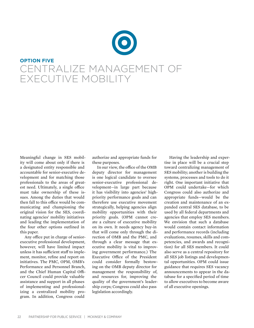

Meaningful change in SES mobility will come about only if there is a designated entity responsible and accountable for senior-executive development and for matching those professionals to the areas of greatest need. Ultimately, a single office must take ownership of these issues. Among the duties that would then fall to this office would be communicating and championing the original vision for the SES, coordinating agencies' mobility initiatives and leading the implementation of the four other options outlined in this paper.

Any office put in charge of seniorexecutive professional development, however, will have limited impact unless it has sufficient staff to implement, monitor, refine and report on initiatives. The PMC, OPM, OMB's Performance and Personnel Branch, and the Chief Human Capital Officer Council could provide valuable assistance and support in all phases of implementing and professionalizing a centralized mobility program. In addition, Congress could

authorize and appropriate funds for these purposes.

In our view, the office of the OMB deputy director for management is one logical candidate to oversee senior-executive professional development—in large part because it has visibility into agencies' highpriority performance goals and can therefore use executive movement strategically, helping agencies align mobility opportunities with their priority goals. (OPM cannot create a culture of executive mobility on its own. It needs agency buy-in that will come only through the direction of OMB and the PMC, and through a clear message that executive mobility is vital to improving government performance.) The Executive Office of the President could consider formally bestowing on the OMB deputy director for management the responsibility of, and resources for, improving the quality of the government's leadership corps; Congress could also pass legislation accordingly.

Having the leadership and expertise in place will be a crucial step toward centralizing management of SES mobility; another is building the systems, processes and tools to do it right. One important initiative that OPM could undertake—for which Congress could also authorize and appropriate funds—would be the creation and maintenance of an expanded central SES database, to be used by all federal departments and agencies that employ SES members. We envision that such a database would contain contact information and performance records (including evaluations, resumes, skills and competencies, and awards and recognition) for all SES members. It could also serve as a central repository for all SES job listings and developmental opportunities. OPM could issue guidance that requires SES vacancy announcements to appear in the database for a specified period of time to allow executives to become aware of all executive openings.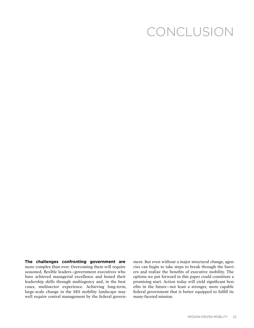# CONCLUSION

**The challenges confronting government are**  more complex than ever. Overcoming them will require seasoned, flexible leaders—government executives who have achieved managerial excellence and honed their leadership skills through multiagency and, in the best cases, multisector experience. Achieving long-term, large-scale change in the SES mobility landscape may well require central management by the federal government. But even without a major structural change, agencies can begin to take steps to break through the barriers and realize the benefits of executive mobility. The options we put forward in this paper could constitute a promising start. Action today will yield significant benefits in the future—not least a stronger, more capable federal government that is better equipped to fulfill its many-faceted mission.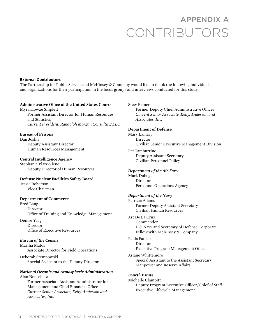# APPENDIX A CONTRIBUTORS

#### **External Contributors**

The Partnership for Public Service and McKinsey & Company would like to thank the following individuals and organizations for their participation in the focus groups and interviews conducted for this study.

#### **Administrative Office of the United States Courts**

Myra Howze Shiplett Former Assistant Director for Human Resources and Statistics *Current President, Randolph Morgan Consulting LLC*

#### **Bureau of Prisons**

Dan Joslin Deputy Assistant Director Human Resources Management

#### **Central Intelligence Agency**

Stephanie Platz-Vieno Deputy Director of Human Resources

#### **Defense Nuclear Facilities Safety Board**

Jessie Roberson Vice Chairman

#### **Department of Commerce**

Fred Lang Director Office of Training and Knowledge Management

Denise Yaag Director Office of Executive Resources

#### *Bureau of the Census*

Marilia Matos Associate Director for Field Operations

Deborah Stempowski Special Assistant to the Deputy Director

#### *National Oceanic and Atmospheric Administration* Alan Neuschatz

Former Associate Assistant Administrator for Management and Chief Financial Office *Current Senior Associate, Kelly, Anderson and Associates, Inc.*

#### Stew Remer

Former Deputy Chief Administrative Officer *Current Senior Associate, Kelly, Anderson and Associates, Inc.*

#### **Department of Defense**

Mary Lamary Director Civilian Senior Executive Management Division

Pat Tamburrino Deputy Assistant Secretary Civilian Personnel Policy

#### *Department of the Air Force*

Mark Doboga Director Personnel Operations Agency

#### *Department of the Navy*

Patricia Adams Former Deputy Assistant Secretary Civilian Human Resources

Art De La Cruz Commander U.S. Navy and Secretary of Defense Corporate Fellow with McKinsey & Company

Paula Patrick Director Executive Program Management Office

Ariane Whittemore Special Assistant to the Assistant Secretary Manpower and Reserve Affairs

#### *Fourth Estate*

Michelle Clampitt Deputy Program Executive Officer/Chief of Staff Executive Lifecycle Management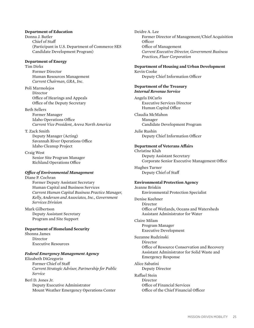#### **Department of Education**

Donna J. Butler Chief of Staff (Participant in U.S. Department of Commerce SES Candidate Development Program)

#### **Department of Energy**

Tim Dirks Former Director Human Resources Management *Current Chairman, GRA, Inc.*

Poli Marmolejos Director Office of Hearings and Appeals Office of the Deputy Secretary

#### Beth Sellers

Former Manager Idaho Operations Office *Current Vice President, Areva North America*

#### T. Zack Smith

Deputy Manager (Acting) Savannah River Operations Office Idaho Cleanup Project

Craig West Senior Site Program Manager Richland Operations Office

#### *Office of Environmental Management*

Diane P. Cochran Former Deputy Assistant Secretary Human Capital and Business Services *Current Human Capital Business Practice Manager, Kelly, Anderson and Associates, Inc., Government Services Division*

Mark Gilbertson Deputy Assistant Secretary Program and Site Support

#### **Department of Homeland Security**

Shonna James Director Executive Resources

#### *Federal Emergency Management Agency*

Elizabeth DiGregorio Former Chief of Staff *Current Strategic Advisor, Partnership for Public Service*

Berl D. Jones Jr. Deputy Executive Administrator Mount Weather Emergency Operations Center Deidre A. Lee Former Director of Management/Chief Acquisition Officer Office of Management *Current Executive Director, Government Business Practices, Fluor Corporation*

#### **Department of Housing and Urban Development**

Kevin Cooke Deputy Chief Information Officer

#### **Department of the Treasury** *Internal Revenue Service*

Angela DiCarlo Executive Services Director Human Capital Office

Claudia McMahon Manager Candidate Development Program

Julie Rushin Deputy Chief Information Officer

#### **Department of Veterans Affairs**

Christine Kluh Deputy Assistant Secretary Corporate Senior Executive Management Office

Hughes Turner Deputy Chief of Staff

#### **Environmental Protection Agency**

Jeanne Briskin Environmental Protection Specialist

Denise Keehner Director Office of Wetlands, Oceans and Watersheds Assistant Administrator for Water

Claire Milam Program Manager Executive Development

Suzanne Rudzinski Director

Office of Resource Conservation and Recovery Assistant Administrator for Solid Waste and Emergency Response

Alice Sabatini Deputy Director

Raffael Stein Director Office of Financial Services Office of the Chief Financial Officer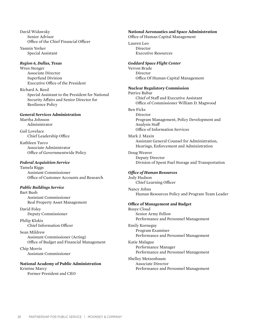David Widawsky Senior Advisor Office of the Chief Financial Officer

Yasmin Yorker Special Assistant

#### *Region 6, Dallas, Texas*

Wren Stenger Associate Director Superfund Division Executive Office of the President

Richard A. Reed Special Assistant to the President for National Security Affairs and Senior Director for Resilience Policy

#### **General Services Administration**

Martha Johnson Administrator

Gail Lovelace Chief Leadership Office

Kathleen Turco Associate Administrator Office of Governmentwide Policy

#### *Federal Acquisition Service*

Tamela Riggs Assistant Commissioner Office of Customer Accounts and Research

#### *Public Buildings Service*

Bart Bush Assistant Commissioner Real Property Asset Management

David Foley Deputy Commissioner

Philip Klokis Chief Information Officer

Sean Mildrew Assistant Commissioner (Acting) Office of Budget and Financial Management

Chip Morris Assistant Commissioner

#### **National Academy of Public Administration** Kristine Marcy

Former President and CEO

#### **National Aeronautics and Space Administration**

Office of Human Capital Management

Lauren Leo Director Executive Resources

#### *Goddard Space Flight Center*

Verron Brade Director Office Of Human Capital Management

#### **Nuclear Regulatory Commission**

Patrice Bubar Chief of Staff and Executive Assistant Office of Commissioner William D. Magwood

#### Ben Ficks

Director Program Management, Policy Development and Analysis Staff Office of Information Services

#### Mark J. Maxin

Assistant General Counsel for Administration, Hearings, Enforcement and Administration

Doug Weaver Deputy Director Division of Spent Fuel Storage and Transportation

#### *Office of Human Resources*

Jody Hudson Chief Learning Officer

Nancy Johns Human Resources Policy and Program Team Leader

#### **Office of Management and Budget**

Rosye Cloud Senior Army Fellow Performance and Personnel Management

Emily Kornegay Program Examiner Performance and Personnel Management

Katie Malague Performance Manager Performance and Personnel Management

Shelley Metzenbaum Associate Director Performance and Personnel Management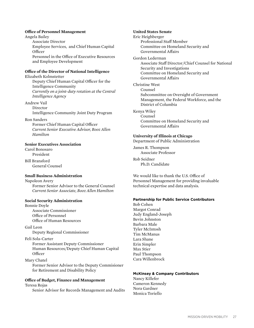#### **Office of Personnel Management**

Angela Bailey Associate Director Employee Services, and Chief Human Capital Officer Personnel in the Office of Executive Resources and Employee Development

#### **Office of the Director of National Intelligence**

Elizabeth Kolmstetter Deputy Chief Human Capital Officer for the Intelligence Community *Currently on a joint-duty rotation at the Central Intelligence Agency*

Andrew Vail Director Intelligence Community Joint Duty Program

Ron Sanders

Former Chief Human Capital Officer *Current Senior Executive Advisor, Booz Allen Hamilton*

#### **Senior Executives Association**

Carol Bonosaro President

Bill Bransford General Counsel

#### **Small Business Administration**

Napoleon Avery Former Senior Advisor to the General Counsel *Current Senior Associate, Booz Allen Hamilton*

#### **Social Security Administration**

Bonnie Doyle Associate Commissioner Office of Personnel Office of Human Resources

Gail Leon

Deputy Regional Commissioner

#### Feli Sola-Carter

Former Assistant Deputy Commissioner Human Resources/Deputy Chief Human Capital Officer

Mary Chatel

Former Senior Advisor to the Deputy Commisioner for Retirement and Disability Policy

#### **Office of Budget, Finance and Management**

Teresa Rojas

Senior Advisor for Records Management and Audits

**United States Senate** Eric Heighberger Professional Staff Member Committee on Homeland Security and Governmental Affairs Gordon Lederman Associate Staff Director/Chief Counsel for National Security and Investigations Committee on Homeland Security and Governmental Affairs Christine West Counsel Subcommittee on Oversight of Government Management, the Federal Workforce, and the District of Columbia Kenya Wiley Counsel Committee on Homeland Security and

### **University of Illinois at Chicago**

Governmental Affairs

Department of Public Administration

James R. Thompson Associate Professor

Rob Seidner Ph.D. Candidate

We would like to thank the U.S. Office of Personnel Management for providing invaluable technical expertise and data analysis.

#### **Partnership for Public Service Contributors**

Bob Cohen Margot Conrad Judy England-Joseph Bevin Johnston Barbara Male Tyler McIntosh Tim McManus Lara Shane Erin Simpler Max Stier Paul Thompson Cara Willenbrock

#### **McKinsey & Company Contributors**

Nancy Killefer Cameron Kennedy Nora Gardner Monica Toriello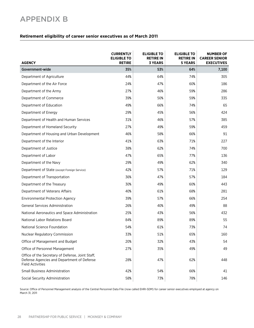## APPENDIX B

#### **Retirement eligibility of career senior executives as of March 2011**

| <b>AGENCY</b>                                                                                                             | <b>CURRENTLY</b><br><b>ELIGIBLE TO</b><br><b>RETIRE</b> | <b>ELIGIBLE TO</b><br><b>RETIRE IN</b><br><b>3 YEARS</b> | <b>ELIGIBLE TO</b><br><b>RETIRE IN</b><br><b>5 YEARS</b> | <b>NUMBER OF</b><br><b>CAREER SENIOR</b><br><b>EXECUTIVES</b> |
|---------------------------------------------------------------------------------------------------------------------------|---------------------------------------------------------|----------------------------------------------------------|----------------------------------------------------------|---------------------------------------------------------------|
| Government-wide                                                                                                           | 35%                                                     | 53%                                                      | 64%                                                      | 7,100                                                         |
| Department of Agriculture                                                                                                 | 44%                                                     | 64%                                                      | 74%                                                      | 305                                                           |
| Department of the Air Force                                                                                               | 24%                                                     | 47%                                                      | 60%                                                      | 186                                                           |
| Department of the Army                                                                                                    | 27%                                                     | 46%                                                      | 59%                                                      | 286                                                           |
| Department of Commerce                                                                                                    | 39%                                                     | 50%                                                      | 59%                                                      | 335                                                           |
| Department of Education                                                                                                   | 49%                                                     | 66%                                                      | 74%                                                      | 65                                                            |
| Department of Energy                                                                                                      | 29%                                                     | 45%                                                      | 56%                                                      | 424                                                           |
| Department of Health and Human Services                                                                                   | 31%                                                     | 46%                                                      | 57%                                                      | 385                                                           |
| Department of Homeland Security                                                                                           | 27%                                                     | 49%                                                      | 59%                                                      | 459                                                           |
| Department of Housing and Urban Development                                                                               | 46%                                                     | 58%                                                      | 66%                                                      | 91                                                            |
| Department of the Interior                                                                                                | 41%                                                     | 63%                                                      | 71%                                                      | 227                                                           |
| Department of Justice                                                                                                     | 38%                                                     | 62%                                                      | 74%                                                      | 700                                                           |
| Department of Labor                                                                                                       | 47%                                                     | 65%                                                      | 77%                                                      | 136                                                           |
| Department of the Navy                                                                                                    | 29%                                                     | 49%                                                      | 62%                                                      | 340                                                           |
| Department of State (except Foreign Service)                                                                              | 42%                                                     | 57%                                                      | 71%                                                      | 129                                                           |
| Department of Transportation                                                                                              | 36%                                                     | 47%                                                      | 57%                                                      | 184                                                           |
| Department of the Treasury                                                                                                | 30%                                                     | 49%                                                      | 60%                                                      | 443                                                           |
| Department of Veterans Affairs                                                                                            | 40%                                                     | 61%                                                      | 68%                                                      | 281                                                           |
| <b>Environmental Protection Agency</b>                                                                                    | 39%                                                     | 57%                                                      | 66%                                                      | 254                                                           |
| <b>General Services Administration</b>                                                                                    | 26%                                                     | 40%                                                      | 49%                                                      | 88                                                            |
| National Aeronautics and Space Administration                                                                             | 25%                                                     | 43%                                                      | 56%                                                      | 432                                                           |
| National Labor Relations Board                                                                                            | 84%                                                     | 89%                                                      | 89%                                                      | 55                                                            |
| National Science Foundation                                                                                               | 54%                                                     | 61%                                                      | 73%                                                      | 74                                                            |
| Nuclear Regulatory Commission                                                                                             | 33%                                                     | 51%                                                      | 65%                                                      | 160                                                           |
| Office of Management and Budget                                                                                           | 20%                                                     | 32%                                                      | 43%                                                      | 54                                                            |
| Office of Personnel Management                                                                                            | 27%                                                     | 35%                                                      | 49%                                                      | 49                                                            |
| Office of the Secretary of Defense, Joint Staff,<br>Defense Agencies and Department of Defense<br><b>Field Activities</b> | 28%                                                     | 47%                                                      | 62%                                                      | 448                                                           |
| <b>Small Business Administration</b>                                                                                      | 42%                                                     | 54%                                                      | 66%                                                      | 41                                                            |
| Social Security Administration                                                                                            | 58%                                                     | 73%                                                      | 78%                                                      | 146                                                           |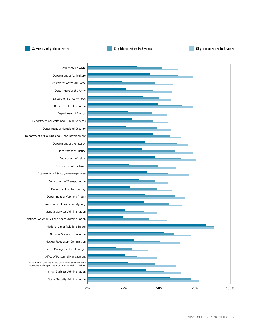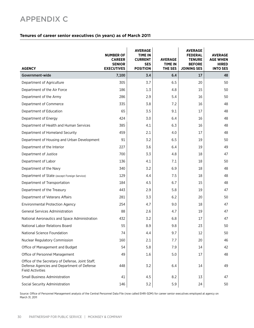## APPENDIX C

#### **Tenures of career senior executives (in years) as of March 2011**

| <b>AGENCY</b>                                                                                                             | <b>NUMBER OF</b><br><b>CAREER</b><br><b>SENIOR</b><br><b>EXECUTIVES</b> | <b>AVERAGE</b><br><b>TIME IN</b><br><b>CURRENT</b><br><b>SES</b><br><b>POSITION</b> | <b>AVERAGE</b><br><b>TIME IN</b><br>THE SES | <b>AVERAGE</b><br><b>FEDERAL</b><br><b>TENURE</b><br><b>BEFORE</b><br><b>JOINING SES</b> | <b>AVERAGE</b><br><b>AGE WHEN</b><br><b>HIRED</b><br><b>INTO SES</b> |
|---------------------------------------------------------------------------------------------------------------------------|-------------------------------------------------------------------------|-------------------------------------------------------------------------------------|---------------------------------------------|------------------------------------------------------------------------------------------|----------------------------------------------------------------------|
| Government-wide                                                                                                           | 7,100                                                                   | 3.4                                                                                 | 6.4                                         | 17                                                                                       | 48                                                                   |
| Department of Agriculture                                                                                                 | 305                                                                     | 3.7                                                                                 | 6.5                                         | 20                                                                                       | 50                                                                   |
| Department of the Air Force                                                                                               | 186                                                                     | 1.3                                                                                 | 4.8                                         | 15                                                                                       | 50                                                                   |
| Department of the Army                                                                                                    | 286                                                                     | 2.9                                                                                 | 5.4                                         | 16                                                                                       | 50                                                                   |
| Department of Commerce                                                                                                    | 335                                                                     | 3.8                                                                                 | 7.2                                         | 16                                                                                       | 48                                                                   |
| Department of Education                                                                                                   | 65                                                                      | 3.5                                                                                 | 9.1                                         | 17                                                                                       | 48                                                                   |
| Department of Energy                                                                                                      | 424                                                                     | 3.0                                                                                 | 6.4                                         | 16                                                                                       | 48                                                                   |
| Department of Health and Human Services                                                                                   | 385                                                                     | 4.1                                                                                 | 6.3                                         | 16                                                                                       | 48                                                                   |
| Department of Homeland Security                                                                                           | 459                                                                     | 2.1                                                                                 | 4.0                                         | 17                                                                                       | 48                                                                   |
| Department of Housing and Urban Development                                                                               | 91                                                                      | 3.2                                                                                 | 6.5                                         | 19                                                                                       | 50                                                                   |
| Department of the Interior                                                                                                | 227                                                                     | 3.6                                                                                 | 6.4                                         | 19                                                                                       | 49                                                                   |
| Department of Justice                                                                                                     | 700                                                                     | 3.3                                                                                 | 4.8                                         | 18                                                                                       | 47                                                                   |
| Department of Labor                                                                                                       | 136                                                                     | 4.1                                                                                 | 7.1                                         | 18                                                                                       | 50                                                                   |
| Department of the Navy                                                                                                    | 340                                                                     | 3.2                                                                                 | 6.9                                         | 18                                                                                       | 48                                                                   |
| Department of State (except Foreign Service)                                                                              | 129                                                                     | 4.4                                                                                 | 7.5                                         | 18                                                                                       | 48                                                                   |
| Department of Transportation                                                                                              | 184                                                                     | 4.5                                                                                 | 6.7                                         | 15                                                                                       | 48                                                                   |
| Department of the Treasury                                                                                                | 443                                                                     | 2.9                                                                                 | 5.8                                         | 19                                                                                       | 47                                                                   |
| Department of Veterans Affairs                                                                                            | 281                                                                     | 3.3                                                                                 | 6.2                                         | 20                                                                                       | 50                                                                   |
| <b>Environmental Protection Agency</b>                                                                                    | 254                                                                     | 4.7                                                                                 | 9.0                                         | 18                                                                                       | 47                                                                   |
| <b>General Services Administration</b>                                                                                    | 88                                                                      | 2.6                                                                                 | 4.7                                         | 19                                                                                       | 47                                                                   |
| National Aeronautics and Space Administration                                                                             | 432                                                                     | 3.2                                                                                 | 6.8                                         | 17                                                                                       | 47                                                                   |
| National Labor Relations Board                                                                                            | 55                                                                      | 8.9                                                                                 | 9.8                                         | 23                                                                                       | 50                                                                   |
| National Science Foundation                                                                                               | 74                                                                      | 4.4                                                                                 | 9.7                                         | 12                                                                                       | 50                                                                   |
| <b>Nuclear Regulatory Commission</b>                                                                                      | 160                                                                     | 2.1                                                                                 | 7.7                                         | 20                                                                                       | 46                                                                   |
| Office of Management and Budget                                                                                           | 54                                                                      | 5.8                                                                                 | 7.9                                         | 14                                                                                       | 42                                                                   |
| Office of Personnel Management                                                                                            | 49                                                                      | 1.6                                                                                 | 5.0                                         | 17                                                                                       | 48                                                                   |
| Office of the Secretary of Defense, Joint Staff,<br>Defense Agencies and Department of Defense<br><b>Field Activities</b> | 448                                                                     | 3.2                                                                                 | 6.4                                         | 14                                                                                       | 49                                                                   |
| <b>Small Business Administration</b>                                                                                      | 41                                                                      | 4.5                                                                                 | 8.2                                         | 13                                                                                       | 47                                                                   |
| Social Security Administration                                                                                            | 146                                                                     | 3.2                                                                                 | 5.9                                         | 24                                                                                       | 50                                                                   |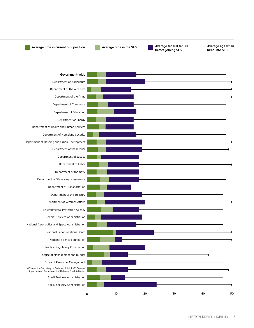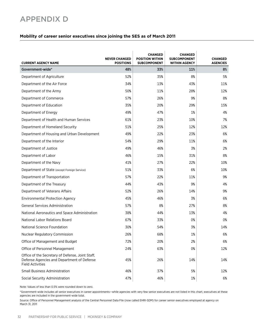## APPENDIX D

#### **Mobility of career senior executives since joining the SES as of March 2011**

| <b>CURRENT AGENCY NAME</b>                                                                                                | <b>NEVER CHANGED</b><br><b>POSITIONS</b> | <b>CHANGED</b><br><b>POSITION WITHIN</b><br><b>SUBCOMPONENT</b> | <b>CHANGED</b><br><b>SUBCOMPONENT</b><br><b>WITHIN AGENCY</b> | <b>CHANGED</b><br><b>AGENCIES</b> |
|---------------------------------------------------------------------------------------------------------------------------|------------------------------------------|-----------------------------------------------------------------|---------------------------------------------------------------|-----------------------------------|
| Government-wide*                                                                                                          | 48%                                      | 33%                                                             | 11%                                                           | 8%                                |
| Department of Agriculture                                                                                                 | 52%                                      | 35%                                                             | 8%                                                            | 5%                                |
| Department of the Air Force                                                                                               | 34%                                      | 13%                                                             | 43%                                                           | 11%                               |
| Department of the Army                                                                                                    | 50%                                      | 11%                                                             | 28%                                                           | 12%                               |
| Department of Commerce                                                                                                    | 57%                                      | 26%                                                             | 9%                                                            | 8%                                |
| Department of Education                                                                                                   | 35%                                      | 20%                                                             | 29%                                                           | 15%                               |
| Department of Energy                                                                                                      | 49%                                      | 47%                                                             | 1%                                                            | 4%                                |
| Department of Health and Human Services                                                                                   | 61%                                      | 23%                                                             | 10%                                                           | 7%                                |
| Department of Homeland Security                                                                                           | 51%                                      | 25%                                                             | 12%                                                           | 12%                               |
| Department of Housing and Urban Development                                                                               | 49%                                      | 22%                                                             | 23%                                                           | 6%                                |
| Department of the Interior                                                                                                | 54%                                      | 29%                                                             | 11%                                                           | 6%                                |
| Department of Justice                                                                                                     | 49%                                      | 46%                                                             | 3%                                                            | 2%                                |
| Department of Labor                                                                                                       | 46%                                      | 15%                                                             | 31%                                                           | 8%                                |
| Department of the Navy                                                                                                    | 41%                                      | 27%                                                             | 22%                                                           | 10%                               |
| Department of State (except Foreign Service)                                                                              | 51%                                      | 33%                                                             | 6%                                                            | 10%                               |
| Department of Transportation                                                                                              | 57%                                      | 22%                                                             | 11%                                                           | 9%                                |
| Department of the Treasury                                                                                                | 44%                                      | 43%                                                             | 9%                                                            | 4%                                |
| Department of Veterans Affairs                                                                                            | 52%                                      | 26%                                                             | 14%                                                           | 9%                                |
| <b>Environmental Protection Agency</b>                                                                                    | 45%                                      | 46%                                                             | 3%                                                            | 6%                                |
| <b>General Services Administration</b>                                                                                    | 57%                                      | 8%                                                              | 27%                                                           | 8%                                |
| National Aeronautics and Space Administration                                                                             | 38%                                      | 44%                                                             | 13%                                                           | 4%                                |
| National Labor Relations Board                                                                                            | 67%                                      | 33%                                                             | 0%                                                            | 0%                                |
| National Science Foundation                                                                                               | 30%                                      | 54%                                                             | 3%                                                            | 14%                               |
| <b>Nuclear Regulatory Commission</b>                                                                                      | 26%                                      | 68%                                                             | 1%                                                            | 6%                                |
| Office of Management and Budget                                                                                           | 72%                                      | 20%                                                             | 2%                                                            | 6%                                |
| Office of Personnel Management                                                                                            | 24%                                      | 63%                                                             | 0%                                                            | 12%                               |
| Office of the Secretary of Defense, Joint Staff,<br>Defense Agencies and Department of Defense<br><b>Field Activities</b> | 45%                                      | 26%                                                             | 14%                                                           | 14%                               |
| <b>Small Business Administration</b>                                                                                      | 46%                                      | 37%                                                             | 5%                                                            | 12%                               |
| Social Security Administration                                                                                            | 47%                                      | 46%                                                             | $1\%$                                                         | 6%                                |

Note: Values of less than 0.5% were rounded down to zero.

\*Government-wide includes all senior executives in career appointments—while agencies with very few senior executives are not listed in this chart, executives at these agencies are included in the government-wide total.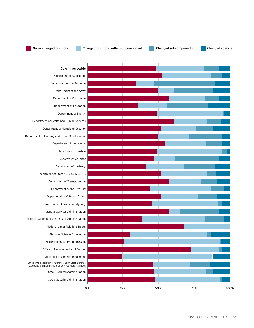

Never changed positions Changed positions within subcomponent Changed subcomponents Changed agencies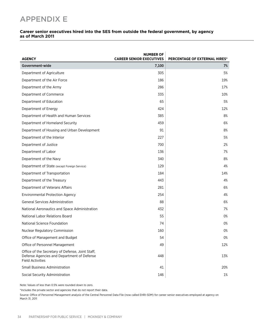## APPENDIX E

#### **Career senior executives hired into the SES from outside the federal government, by agency as of March 2011**

| <b>AGENCY</b>                                                                                                             | <b>NUMBER OF</b><br><b>CAREER SENIOR EXECUTIVES</b> | <b>PERCENTAGE OF EXTERNAL HIRES*</b> |
|---------------------------------------------------------------------------------------------------------------------------|-----------------------------------------------------|--------------------------------------|
| Government-wide                                                                                                           | 7,100                                               | 7%                                   |
| Department of Agriculture                                                                                                 | 305                                                 | 5%                                   |
| Department of the Air Force                                                                                               | 186                                                 | 19%                                  |
| Department of the Army                                                                                                    | 286                                                 | 17%                                  |
| Department of Commerce                                                                                                    | 335                                                 | 10%                                  |
| Department of Education                                                                                                   | 65                                                  | 5%                                   |
| Department of Energy                                                                                                      | 424                                                 | 12%                                  |
| Department of Health and Human Services                                                                                   | 385                                                 | 8%                                   |
| Department of Homeland Security                                                                                           | 459                                                 | 6%                                   |
| Department of Housing and Urban Development                                                                               | 91                                                  | 8%                                   |
| Department of the Interior                                                                                                | 227                                                 | 5%                                   |
| Department of Justice                                                                                                     | 700                                                 | 2%                                   |
| Department of Labor                                                                                                       | 136                                                 | 7%                                   |
| Department of the Navy                                                                                                    | 340                                                 | 8%                                   |
| Department of State (except Foreign Service)                                                                              | 129                                                 | 4%                                   |
| Department of Transportation                                                                                              | 184                                                 | 14%                                  |
| Department of the Treasury                                                                                                | 443                                                 | 4%                                   |
| Department of Veterans Affairs                                                                                            | 281                                                 | 6%                                   |
| <b>Environmental Protection Agency</b>                                                                                    | 254                                                 | 4%                                   |
| <b>General Services Administration</b>                                                                                    | 88                                                  | 6%                                   |
| National Aeronautics and Space Administration                                                                             | 432                                                 | 7%                                   |
| National Labor Relations Board                                                                                            | 55                                                  | 0%                                   |
| National Science Foundation                                                                                               | 74                                                  | 0%                                   |
| <b>Nuclear Regulatory Commission</b>                                                                                      | 160                                                 | 0%                                   |
| Office of Management and Budget                                                                                           | 54                                                  | 0%                                   |
| Office of Personnel Management                                                                                            | 49                                                  | 12%                                  |
| Office of the Secretary of Defense, Joint Staff,<br>Defense Agencies and Department of Defense<br><b>Field Activities</b> | 448                                                 | 13%                                  |
| <b>Small Business Administration</b>                                                                                      | 41                                                  | 20%                                  |
| Social Security Administration                                                                                            | 146                                                 | 1%                                   |

Note: Values of less than 0.5% were rounded down to zero.

\*Includes the private sector and agencies that do not report their data.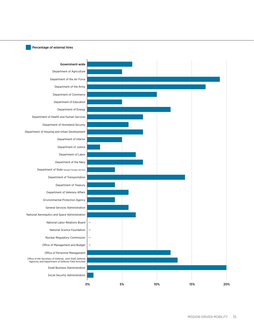#### Percentage of external hires

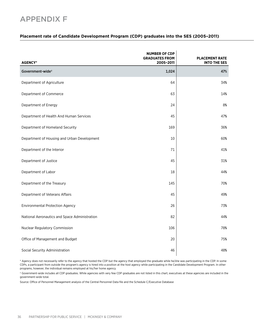## APPENDIX F

#### **Placement rate of Candidate Development Program (CDP) graduates into the SES (2005–2011)**

| <b>AGENCY*</b>                                | <b>NUMBER OF CDP</b><br><b>GRADUATES FROM</b><br>2005-2011 | <b>PLACEMENT RATE</b><br><b>INTO THE SES</b> |
|-----------------------------------------------|------------------------------------------------------------|----------------------------------------------|
| Government-wide <sup>+</sup>                  | 1,024                                                      | 47%                                          |
| Department of Agriculture                     | 64                                                         | 34%                                          |
| Department of Commerce                        | 63                                                         | 14%                                          |
| Department of Energy                          | 24                                                         | 8%                                           |
| Department of Health And Human Services       | 45                                                         | 47%                                          |
| Department of Homeland Security               | 169                                                        | 36%                                          |
| Department of Housing and Urban Development   | 10                                                         | 60%                                          |
| Department of the Interior                    | 71                                                         | 41%                                          |
| Department of Justice                         | 45                                                         | 31%                                          |
| Department of Labor                           | 18                                                         | 44%                                          |
| Department of the Treasury                    | 145                                                        | 70%                                          |
| Department of Veterans Affairs                | 45                                                         | 49%                                          |
| <b>Environmental Protection Agency</b>        | 26                                                         | 73%                                          |
| National Aeronautics and Space Administration | 82                                                         | 44%                                          |
| Nuclear Regulatory Commission                 | 106                                                        | 78%                                          |
| Office of Management and Budget               | 20                                                         | 75%                                          |
| Social Security Administration                | 46                                                         | 48%                                          |

\* Agency does not necessarily refer to the agency that hosted the CDP but the agency that employed the graduate while he/she was participating in the CDP. In some CDPs, a participant from outside the program's agency is hired into a position at the host agency while participating in the Candidate Development Program. In other programs, however, the individual remains employed at his/her home agency.

† Government-wide includes all CDP graduates. While agencies with very few CDP graduates are not listed in this chart, executives at these agencies are included in the government-wide total.

Source: Office of Personnel Management analysis of the Central Personnel Data file and the Schedule C/Executive Database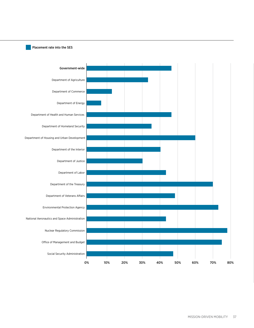#### Placement rate into the SES

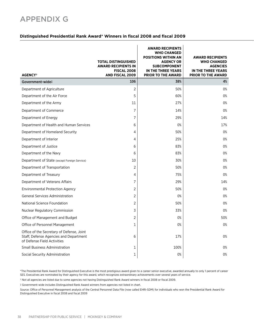## APPENDIX G

#### **Distinguished Presidential Rank Award\* Winners in fiscal 2008 and fiscal 2009**

| <b>AGENCY<sup>+</sup></b>                                                                                          | <b>TOTAL DISTINGUISHED</b><br><b>AWARD RECIPIENTS IN</b><br><b>FISCAL 2008</b><br><b>AND FISCAL 2009</b> | <b>AWARD RECIPIENTS</b><br><b>WHO CHANGED</b><br><b>POSITIONS WITHIN AN</b><br><b>AGENCY OR</b><br><b>SUBCOMPONENT</b><br>IN THE THREE YEARS<br><b>PRIOR TO THE AWARD</b> | <b>AWARD RECIPIENTS</b><br><b>WHO CHANGED</b><br><b>AGENCIES</b><br>IN THE THREE YEARS<br><b>PRIOR TO THE AWARD</b> |
|--------------------------------------------------------------------------------------------------------------------|----------------------------------------------------------------------------------------------------------|---------------------------------------------------------------------------------------------------------------------------------------------------------------------------|---------------------------------------------------------------------------------------------------------------------|
| Government-wide‡                                                                                                   | 106                                                                                                      | 38%                                                                                                                                                                       | 4%                                                                                                                  |
| Department of Agriculture                                                                                          | $\overline{c}$                                                                                           | 50%                                                                                                                                                                       | 0%                                                                                                                  |
| Department of the Air Force                                                                                        | 5                                                                                                        | 60%                                                                                                                                                                       | 0%                                                                                                                  |
| Department of the Army                                                                                             | 11                                                                                                       | 27%                                                                                                                                                                       | 0%                                                                                                                  |
| Department of Commerce                                                                                             | 7                                                                                                        | 14%                                                                                                                                                                       | 0%                                                                                                                  |
| Department of Energy                                                                                               | 7                                                                                                        | 29%                                                                                                                                                                       | 14%                                                                                                                 |
| Department of Health and Human Services                                                                            | 6                                                                                                        | 0%                                                                                                                                                                        | 17%                                                                                                                 |
| Department of Homeland Security                                                                                    | 4                                                                                                        | 50%                                                                                                                                                                       | 0%                                                                                                                  |
| Department of Interior                                                                                             | 4                                                                                                        | 25%                                                                                                                                                                       | 0%                                                                                                                  |
| Department of Justice                                                                                              | 6                                                                                                        | 83%                                                                                                                                                                       | 0%                                                                                                                  |
| Department of the Navy                                                                                             | 6                                                                                                        | 83%                                                                                                                                                                       | 0%                                                                                                                  |
| Department of State (except Foreign Service)                                                                       | 10                                                                                                       | 30%                                                                                                                                                                       | 0%                                                                                                                  |
| Department of Transportation                                                                                       | 2                                                                                                        | 50%                                                                                                                                                                       | 0%                                                                                                                  |
| Department of Treasury                                                                                             | 4                                                                                                        | 75%                                                                                                                                                                       | 0%                                                                                                                  |
| Department of Veterans Affairs                                                                                     | 7                                                                                                        | 29%                                                                                                                                                                       | 14%                                                                                                                 |
| <b>Environmental Protection Agency</b>                                                                             | 2                                                                                                        | 50%                                                                                                                                                                       | 0%                                                                                                                  |
| <b>General Services Administration</b>                                                                             | 2                                                                                                        | 0%                                                                                                                                                                        | 0%                                                                                                                  |
| National Science Foundation                                                                                        | 2                                                                                                        | 50%                                                                                                                                                                       | 0%                                                                                                                  |
| <b>Nuclear Regulatory Commission</b>                                                                               | 3                                                                                                        | 33%                                                                                                                                                                       | 0%                                                                                                                  |
| Office of Management and Budget                                                                                    | 2                                                                                                        | 0%                                                                                                                                                                        | 50%                                                                                                                 |
| Office of Personnel Management                                                                                     | 1                                                                                                        | 0%                                                                                                                                                                        | 0%                                                                                                                  |
| Office of the Secretary of Defense, Joint<br>Staff, Defense Agencies and Department<br>of Defense Field Activities | 6                                                                                                        | 17%                                                                                                                                                                       | 0%                                                                                                                  |
| <b>Small Business Administration</b>                                                                               | 1                                                                                                        | 100%                                                                                                                                                                      | 0%                                                                                                                  |
| Social Security Administration                                                                                     | 1                                                                                                        | 0%                                                                                                                                                                        | 0%                                                                                                                  |

\*The Presidential Rank Award for Distinguished Executive is the most prestigious award given to a career senior executive, awarded annually to only 1 percent of career SES. Executives are nominated by their agency for this award, which recognizes extraordinary achievements over several years of service.

† Not all agencies are listed due to some agencies not having Distinguished Rank Award winners in fiscal 2008 or fiscal 2009.

‡ Government-wide includes Distinguished Rank Award winners from agencies not listed in chart.

Source: Office of Personnel Management analysis of the Central Personnel Data File (now called EHRI-SDM) for individuals who won the Presidential Rank Award for Distinguished Executive in fiscal 2008 and fiscal 2009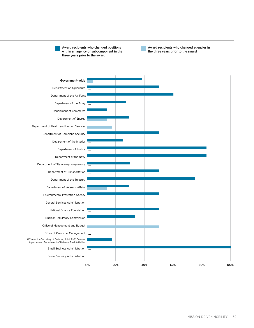Award recipients who changed positions within an agency or subcomponent in the three years prior to the award

Award recipients who changed agencies in the three years prior to the award